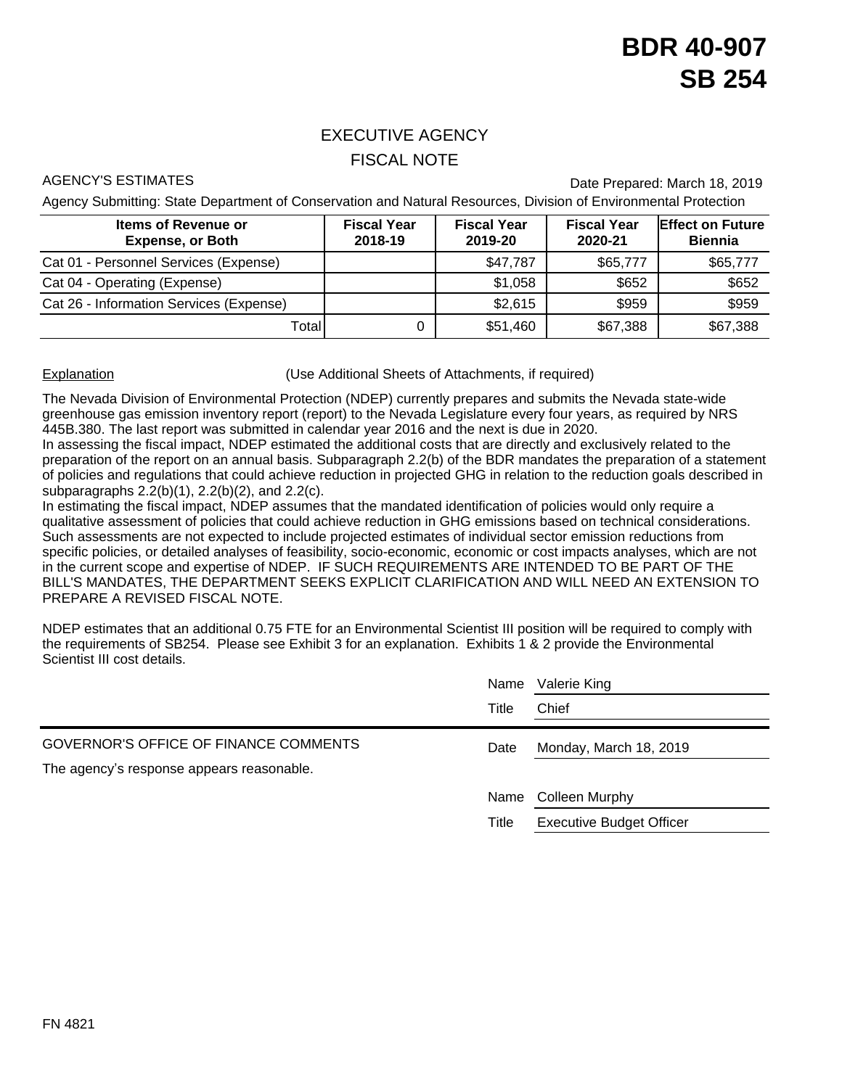## EXECUTIVE AGENCY FISCAL NOTE

AGENCY'S ESTIMATES **Date Prepared: March 18, 2019** 

Agency Submitting: State Department of Conservation and Natural Resources, Division of Environmental Protection

| <b>Items of Revenue or</b><br><b>Expense, or Both</b> | <b>Fiscal Year</b><br>2018-19 | <b>Fiscal Year</b><br>2019-20 | <b>Fiscal Year</b><br>2020-21 | <b>Effect on Future</b><br><b>Biennia</b> |
|-------------------------------------------------------|-------------------------------|-------------------------------|-------------------------------|-------------------------------------------|
| Cat 01 - Personnel Services (Expense)                 |                               | \$47,787                      | \$65,777                      | \$65,777                                  |
| Cat 04 - Operating (Expense)                          |                               | \$1,058                       | \$652                         | \$652                                     |
| Cat 26 - Information Services (Expense)               |                               | \$2,615                       | \$959                         | \$959                                     |
| Totall                                                |                               | \$51,460                      | \$67,388                      | \$67,388                                  |

Explanation (Use Additional Sheets of Attachments, if required)

The Nevada Division of Environmental Protection (NDEP) currently prepares and submits the Nevada state-wide greenhouse gas emission inventory report (report) to the Nevada Legislature every four years, as required by NRS 445B.380. The last report was submitted in calendar year 2016 and the next is due in 2020.

In assessing the fiscal impact, NDEP estimated the additional costs that are directly and exclusively related to the preparation of the report on an annual basis. Subparagraph 2.2(b) of the BDR mandates the preparation of a statement of policies and regulations that could achieve reduction in projected GHG in relation to the reduction goals described in subparagraphs 2.2(b)(1), 2.2(b)(2), and 2.2(c).

In estimating the fiscal impact, NDEP assumes that the mandated identification of policies would only require a qualitative assessment of policies that could achieve reduction in GHG emissions based on technical considerations. Such assessments are not expected to include projected estimates of individual sector emission reductions from specific policies, or detailed analyses of feasibility, socio-economic, economic or cost impacts analyses, which are not in the current scope and expertise of NDEP. IF SUCH REQUIREMENTS ARE INTENDED TO BE PART OF THE BILL'S MANDATES, THE DEPARTMENT SEEKS EXPLICIT CLARIFICATION AND WILL NEED AN EXTENSION TO PREPARE A REVISED FISCAL NOTE.

NDEP estimates that an additional 0.75 FTE for an Environmental Scientist III position will be required to comply with the requirements of SB254. Please see Exhibit 3 for an explanation. Exhibits 1 & 2 provide the Environmental Scientist III cost details.

|                                           | Name  | Valerie King                    |
|-------------------------------------------|-------|---------------------------------|
|                                           | Title | Chief                           |
| GOVERNOR'S OFFICE OF FINANCE COMMENTS     | Date  | Monday, March 18, 2019          |
| The agency's response appears reasonable. |       |                                 |
|                                           | Name  | Colleen Murphy                  |
|                                           | Title | <b>Executive Budget Officer</b> |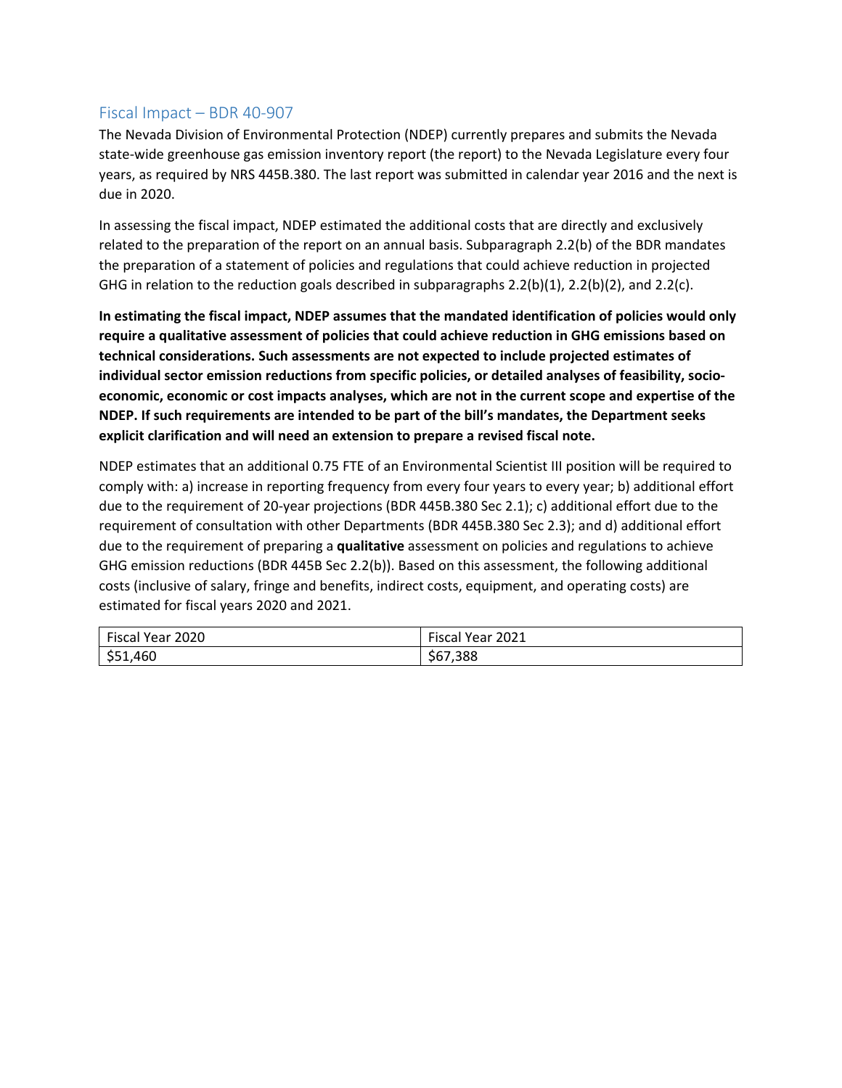### Fiscal Impact – BDR 40‐907

The Nevada Division of Environmental Protection (NDEP) currently prepares and submits the Nevada state‐wide greenhouse gas emission inventory report (the report) to the Nevada Legislature every four years, as required by NRS 445B.380. The last report was submitted in calendar year 2016 and the next is due in 2020.

In assessing the fiscal impact, NDEP estimated the additional costs that are directly and exclusively related to the preparation of the report on an annual basis. Subparagraph 2.2(b) of the BDR mandates the preparation of a statement of policies and regulations that could achieve reduction in projected GHG in relation to the reduction goals described in subparagraphs 2.2(b)(1), 2.2(b)(2), and 2.2(c).

**In estimating the fiscal impact, NDEP assumes that the mandated identification of policies would only require a qualitative assessment of policies that could achieve reduction in GHG emissions based on technical considerations. Such assessments are not expected to include projected estimates of individual sector emission reductions from specific policies, or detailed analyses of feasibility, socio‐ economic, economic or cost impacts analyses, which are not in the current scope and expertise of the NDEP. If such requirements are intended to be part of the bill's mandates, the Department seeks explicit clarification and will need an extension to prepare a revised fiscal note.** 

NDEP estimates that an additional 0.75 FTE of an Environmental Scientist III position will be required to comply with: a) increase in reporting frequency from every four years to every year; b) additional effort due to the requirement of 20‐year projections (BDR 445B.380 Sec 2.1); c) additional effort due to the requirement of consultation with other Departments (BDR 445B.380 Sec 2.3); and d) additional effort due to the requirement of preparing a **qualitative** assessment on policies and regulations to achieve GHG emission reductions (BDR 445B Sec 2.2(b)). Based on this assessment, the following additional costs (inclusive of salary, fringe and benefits, indirect costs, equipment, and operating costs) are estimated for fiscal years 2020 and 2021.

| <b>Fiscal Year</b><br>2020 | Fiscal<br>2021<br>'Year ∠J |
|----------------------------|----------------------------|
| \$51,460                   | \$67,388                   |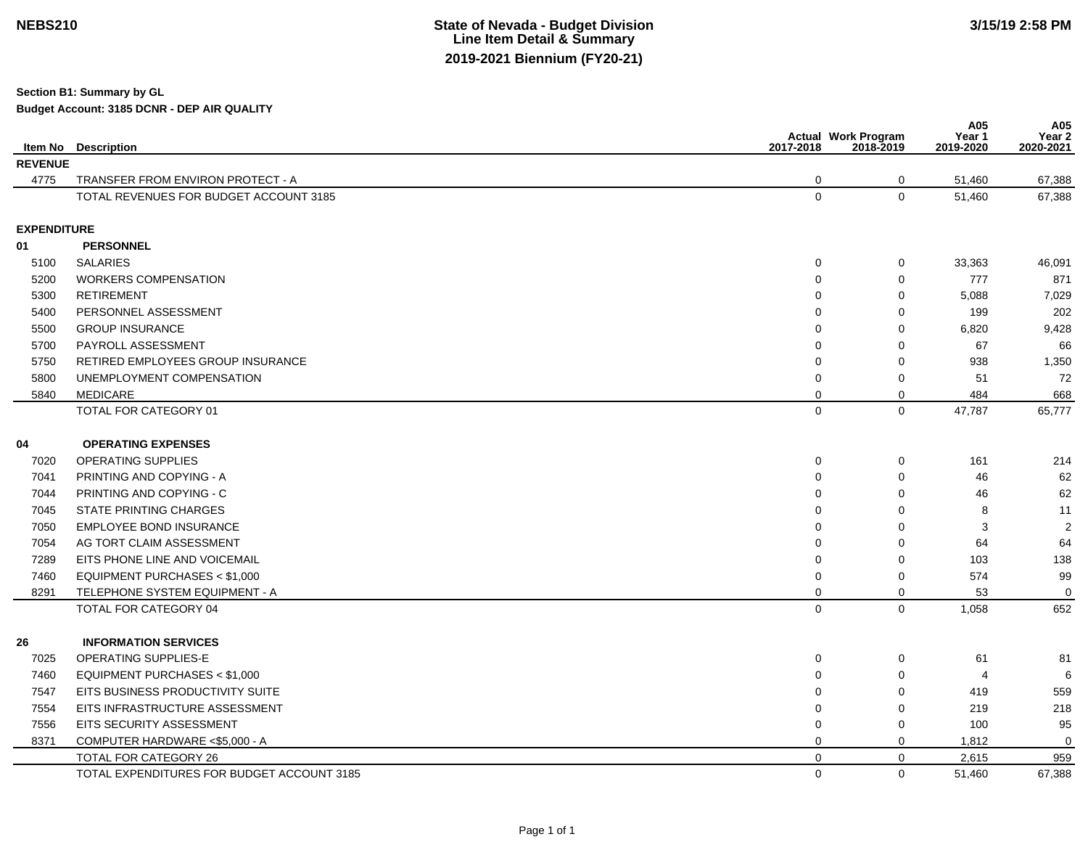## **State of Nevada - Budget Division Line Item Detail & Summary2019-2021 Biennium (FY20-21)**

**Section B1: Summary by GL**

**Budget Account: 3185 DCNR - DEP AIR QUALITY**

|                    | <b>Item No</b> Description                 | 2017-2018   | <b>Actual Work Program</b><br>2018-2019 | A05<br>Year 1<br>2019-2020 | A05<br>Year <sub>2</sub><br>2020-2021 |
|--------------------|--------------------------------------------|-------------|-----------------------------------------|----------------------------|---------------------------------------|
| <b>REVENUE</b>     |                                            |             |                                         |                            |                                       |
| 4775               | TRANSFER FROM ENVIRON PROTECT - A          | 0           | 0                                       | 51,460                     | 67,388                                |
|                    | TOTAL REVENUES FOR BUDGET ACCOUNT 3185     | $\mathbf 0$ | $\mathbf{0}$                            | 51,460                     | 67,388                                |
| <b>EXPENDITURE</b> |                                            |             |                                         |                            |                                       |
| 01                 | <b>PERSONNEL</b>                           |             |                                         |                            |                                       |
| 5100               | <b>SALARIES</b>                            | 0           | 0                                       | 33,363                     | 46,091                                |
| 5200               | <b>WORKERS COMPENSATION</b>                | $\mathbf 0$ | $\mathbf 0$                             | 777                        | 871                                   |
| 5300               | <b>RETIREMENT</b>                          | $\Omega$    | $\mathbf 0$                             | 5,088                      | 7,029                                 |
| 5400               | PERSONNEL ASSESSMENT                       | $\Omega$    | $\mathbf 0$                             | 199                        | 202                                   |
| 5500               | <b>GROUP INSURANCE</b>                     | $\Omega$    | $\Omega$                                | 6,820                      | 9,428                                 |
| 5700               | PAYROLL ASSESSMENT                         | $\Omega$    | 0                                       | 67                         | 66                                    |
| 5750               | <b>RETIRED EMPLOYEES GROUP INSURANCE</b>   | $\Omega$    | $\mathbf 0$                             | 938                        | 1,350                                 |
| 5800               | UNEMPLOYMENT COMPENSATION                  | $\Omega$    | $\mathbf 0$                             | 51                         | 72                                    |
| 5840               | <b>MEDICARE</b>                            | 0           | 0                                       | 484                        | 668                                   |
|                    | TOTAL FOR CATEGORY 01                      | $\mathbf 0$ | $\mathbf 0$                             | 47,787                     | 65,777                                |
| 04                 | <b>OPERATING EXPENSES</b>                  |             |                                         |                            |                                       |
| 7020               | <b>OPERATING SUPPLIES</b>                  | 0           | 0                                       | 161                        | 214                                   |
| 7041               | PRINTING AND COPYING - A                   | $\Omega$    | $\Omega$                                | 46                         | 62                                    |
| 7044               | PRINTING AND COPYING - C                   | O           | $\mathbf 0$                             | 46                         | 62                                    |
| 7045               | <b>STATE PRINTING CHARGES</b>              | 0           | 0                                       | 8                          | 11                                    |
| 7050               | <b>EMPLOYEE BOND INSURANCE</b>             | $\Omega$    | $\mathbf 0$                             | 3                          | $\overline{2}$                        |
| 7054               | AG TORT CLAIM ASSESSMENT                   | $\Omega$    | $\mathbf 0$                             | 64                         | 64                                    |
| 7289               | EITS PHONE LINE AND VOICEMAIL              | $\Omega$    | $\mathbf 0$                             | 103                        | 138                                   |
| 7460               | EQUIPMENT PURCHASES < \$1,000              | 0           | 0                                       | 574                        | 99                                    |
| 8291               | TELEPHONE SYSTEM EQUIPMENT - A             | 0           | $\Omega$                                | 53                         | $\mathbf 0$                           |
|                    | TOTAL FOR CATEGORY 04                      | $\mathbf 0$ | $\mathbf 0$                             | 1,058                      | 652                                   |
| 26                 | <b>INFORMATION SERVICES</b>                |             |                                         |                            |                                       |
| 7025               | OPERATING SUPPLIES-E                       | 0           | $\mathbf 0$                             | 61                         | 81                                    |
| 7460               | EQUIPMENT PURCHASES < \$1,000              | $\Omega$    | 0                                       | 4                          | 6                                     |
| 7547               | EITS BUSINESS PRODUCTIVITY SUITE           | $\Omega$    | $\mathbf 0$                             | 419                        | 559                                   |
| 7554               | EITS INFRASTRUCTURE ASSESSMENT             | $\Omega$    | $\Omega$                                | 219                        | 218                                   |
| 7556               | EITS SECURITY ASSESSMENT                   | 0           | 0                                       | 100                        | 95                                    |
| 8371               | COMPUTER HARDWARE <\$5,000 - A             | 0           | $\mathbf 0$                             | 1,812                      | $\Omega$                              |
|                    | TOTAL FOR CATEGORY 26                      | $\Omega$    | $\mathbf 0$                             | 2,615                      | 959                                   |
|                    | TOTAL EXPENDITURES FOR BUDGET ACCOUNT 3185 | 0           | $\mathbf 0$                             | 51,460                     | 67,388                                |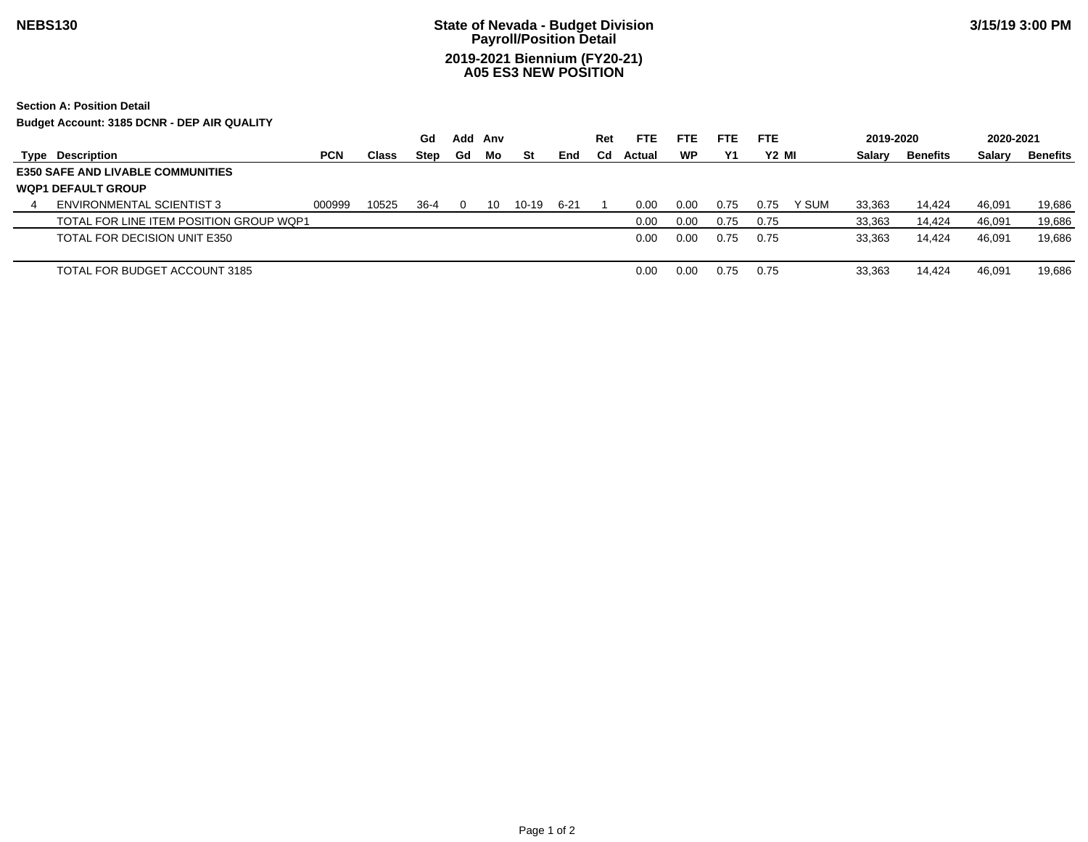# **State of Nevada - Budget Division Payroll/Position Detail2019-2021 Biennium (FY20-21) A05 ES3 NEW POSITION**

**Section A: Position Detail**

**Budget Account: 3185 DCNR - DEP AIR QUALITY**

|   |                                          |            |              | Gd          | Add | Anv |       |      | Ret         | <b>FTE</b> | <b>FTE</b> | <b>FTE</b> | <b>FTE</b>        | 2019-2020 |          | 2020-2021 |          |
|---|------------------------------------------|------------|--------------|-------------|-----|-----|-------|------|-------------|------------|------------|------------|-------------------|-----------|----------|-----------|----------|
|   | <b>Type Description</b>                  | <b>PCN</b> | <b>Class</b> | <b>Step</b> | Gd  | Mo  | St    | End  | $_{\rm Cd}$ | Actual     | WP         | Υ1         | Y <sub>2</sub> MI | Salary    | Benefits | Salary    | Benefits |
|   | <b>E350 SAFE AND LIVABLE COMMUNITIES</b> |            |              |             |     |     |       |      |             |            |            |            |                   |           |          |           |          |
|   | <b>WOP1 DEFAULT GROUP</b>                |            |              |             |     |     |       |      |             |            |            |            |                   |           |          |           |          |
| 4 | ENVIRONMENTAL SCIENTIST 3                | 000999     | 10525        | 36-4        |     | 10  | 10-19 | 6-21 |             | 0.00       | 0.00       | 0.75       | Y SUM<br>0.75     | 33,363    | 14,424   | 46,091    | 19,686   |
|   | TOTAL FOR LINE ITEM POSITION GROUP WOP1  |            |              |             |     |     |       |      |             | 0.00       | 0.00       | 0.75       | 0.75              | 33,363    | 14,424   | 46,091    | 19,686   |
|   | TOTAL FOR DECISION UNIT E350             |            |              |             |     |     |       |      |             | 0.00       | 0.00       | 0.75       | 0.75              | 33,363    | 14,424   | 46,091    | 19,686   |
|   |                                          |            |              |             |     |     |       |      |             |            |            |            |                   |           |          |           |          |
|   | TOTAL FOR BUDGET ACCOUNT 3185            |            |              |             |     |     |       |      |             | 0.00       | 0.00       | 0.75       | 0.75              | 33.363    | 14,424   | 46,091    | 19,686   |